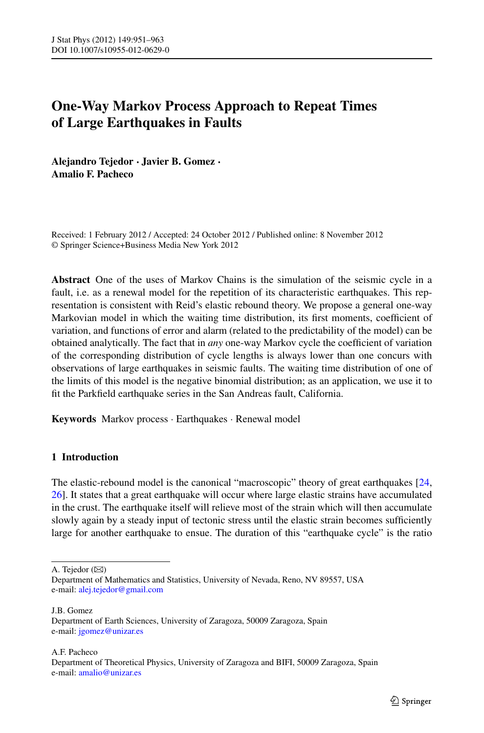# **One-Way Markov Process Approach to Repeat Times of Large Earthquakes in Faults**

**Alejandro Tejedor · Javier B. Gomez · Amalio F. Pacheco**

Received: 1 February 2012 / Accepted: 24 October 2012 / Published online: 8 November 2012 © Springer Science+Business Media New York 2012

**Abstract** One of the uses of Markov Chains is the simulation of the seismic cycle in a fault, i.e. as a renewal model for the repetition of its characteristic earthquakes. This representation is consistent with Reid's elastic rebound theory. We propose a general one-way Markovian model in which the waiting time distribution, its first moments, coefficient of variation, and functions of error and alarm (related to the predictability of the model) can be obtained analytically. The fact that in *any* one-way Markov cycle the coefficient of variation of the corresponding distribution of cycle lengths is always lower than one concurs with observations of large earthquakes in seismic faults. The waiting time distribution of one of the limits of this model is the negative binomial distribution; as an application, we use it to fit the Parkfield earthquake series in the San Andreas fault, California.

<span id="page-0-0"></span>**Keywords** Markov process · Earthquakes · Renewal model

# **1 Introduction**

The elastic-rebound model is the canonical "macroscopic" theory of great earthquakes [[24](#page-12-0), [26](#page-12-1)]. It states that a great earthquake will occur where large elastic strains have accumulated in the crust. The earthquake itself will relieve most of the strain which will then accumulate slowly again by a steady input of tectonic stress until the elastic strain becomes sufficiently large for another earthquake to ensue. The duration of this "earthquake cycle" is the ratio

A. Tejedor  $(\boxtimes)$ 

J.B. Gomez Department of Earth Sciences, University of Zaragoza, 50009 Zaragoza, Spain e-mail: [jgomez@unizar.es](mailto:jgomez@unizar.es)

Department of Mathematics and Statistics, University of Nevada, Reno, NV 89557, USA e-mail: [alej.tejedor@gmail.com](mailto:alej.tejedor@gmail.com)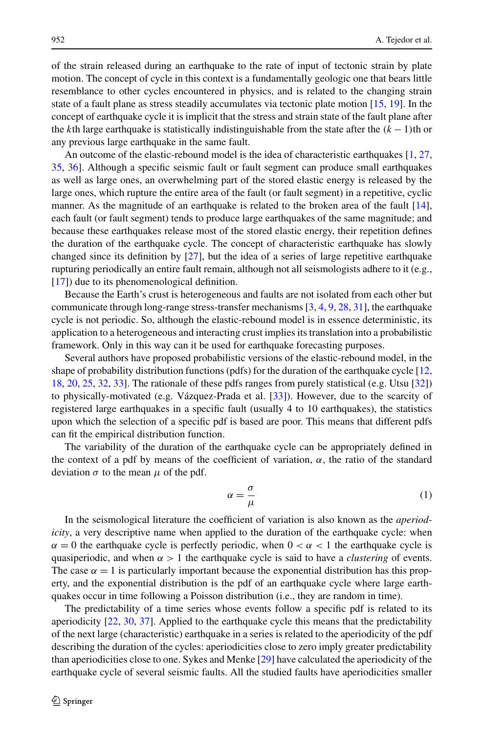of the strain released during an earthquake to the rate of input of tectonic strain by plate motion. The concept of cycle in this context is a fundamentally geologic one that bears little resemblance to other cycles encountered in physics, and is related to the changing strain state of a fault plane as stress steadily accumulates via tectonic plate motion [\[15,](#page-12-2) [19\]](#page-12-3). In the concept of earthquake cycle it is implicit that the stress and strain state of the fault plane after the *k*th large earthquake is statistically indistinguishable from the state after the *(k* − 1*)*th or any previous large earthquake in the same fault.

An outcome of the elastic-rebound model is the idea of characteristic earthquakes [\[1](#page-11-0), [27](#page-12-4), [35](#page-12-5), [36](#page-12-6)]. Although a specific seismic fault or fault segment can produce small earthquakes as well as large ones, an overwhelming part of the stored elastic energy is released by the large ones, which rupture the entire area of the fault (or fault segment) in a repetitive, cyclic manner. As the magnitude of an earthquake is related to the broken area of the fault [[14](#page-11-1)], each fault (or fault segment) tends to produce large earthquakes of the same magnitude; and because these earthquakes release most of the stored elastic energy, their repetition defines the duration of the earthquake cycle. The concept of characteristic earthquake has slowly changed since its definition by [[27](#page-12-4)], but the idea of a series of large repetitive earthquake rupturing periodically an entire fault remain, although not all seismologists adhere to it (e.g., [[17](#page-12-7)]) due to its phenomenological definition.

Because the Earth's crust is heterogeneous and faults are not isolated from each other but communicate through long-range stress-transfer mechanisms [\[3](#page-11-2), [4](#page-11-3), [9](#page-11-4), [28,](#page-12-8) [31](#page-12-9)], the earthquake cycle is not periodic. So, although the elastic-rebound model is in essence deterministic, its application to a heterogeneous and interacting crust implies its translation into a probabilistic framework. Only in this way can it be used for earthquake forecasting purposes.

Several authors have proposed probabilistic versions of the elastic-rebound model, in the shape of probability distribution functions (pdfs) for the duration of the earthquake cycle [[12](#page-11-5), [18](#page-12-10), [20](#page-12-11), [25](#page-12-12), [32](#page-12-13), [33](#page-12-14)]. The rationale of these pdfs ranges from purely statistical (e.g. Utsu [[32](#page-12-13)]) to physically-motivated (e.g. Vázquez-Prada et al. [[33](#page-12-14)]). However, due to the scarcity of registered large earthquakes in a specific fault (usually 4 to 10 earthquakes), the statistics upon which the selection of a specific pdf is based are poor. This means that different pdfs can fit the empirical distribution function.

The variability of the duration of the earthquake cycle can be appropriately defined in the context of a pdf by means of the coefficient of variation,  $\alpha$ , the ratio of the standard deviation  $\sigma$  to the mean  $\mu$  of the pdf.

$$
\alpha = \frac{\sigma}{\mu} \tag{1}
$$

In the seismological literature the coefficient of variation is also known as the *aperiodicity*, a very descriptive name when applied to the duration of the earthquake cycle: when  $\alpha = 0$  the earthquake cycle is perfectly periodic, when  $0 < \alpha < 1$  the earthquake cycle is quasiperiodic, and when  $\alpha > 1$  the earthquake cycle is said to have a *clustering* of events. The case  $\alpha = 1$  is particularly important because the exponential distribution has this property, and the exponential distribution is the pdf of an earthquake cycle where large earthquakes occur in time following a Poisson distribution (i.e., they are random in time).

The predictability of a time series whose events follow a specific pdf is related to its aperiodicity [[22](#page-12-15), [30,](#page-12-16) [37](#page-12-17)]. Applied to the earthquake cycle this means that the predictability of the next large (characteristic) earthquake in a series is related to the aperiodicity of the pdf describing the duration of the cycles: aperiodicities close to zero imply greater predictability than aperiodicities close to one. Sykes and Menke [[29](#page-12-18)] have calculated the aperiodicity of the earthquake cycle of several seismic faults. All the studied faults have aperiodicities smaller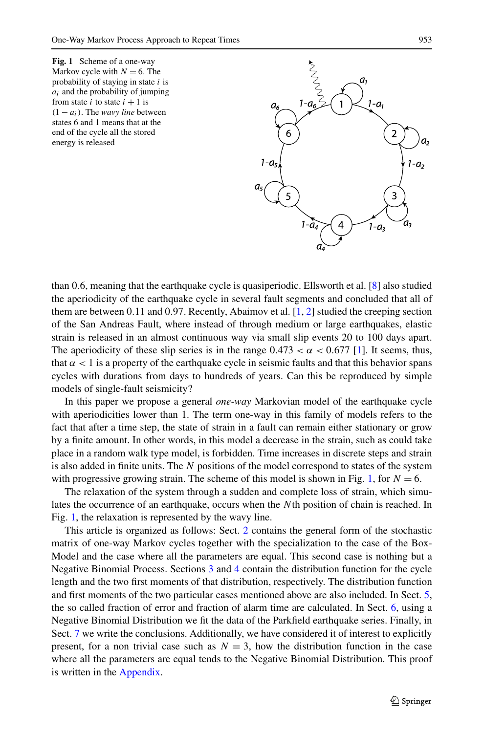<span id="page-2-0"></span>



than 0*.*6, meaning that the earthquake cycle is quasiperiodic. Ellsworth et al. [[8\]](#page-11-6) also studied the aperiodicity of the earthquake cycle in several fault segments and concluded that all of them are between 0*.*11 and 0*.*97. Recently, Abaimov et al. [\[1,](#page-11-0) [2\]](#page-11-7) studied the creeping section of the San Andreas Fault, where instead of through medium or large earthquakes, elastic strain is released in an almost continuous way via small slip events 20 to 100 days apart. The aperiodicity of these slip series is in the range  $0.473 < \alpha < 0.677$  [\[1\]](#page-11-0). It seems, thus, that  $\alpha$  < 1 is a property of the earthquake cycle in seismic faults and that this behavior spans cycles with durations from days to hundreds of years. Can this be reproduced by simple models of single-fault seismicity?

In this paper we propose a general *one-way* Markovian model of the earthquake cycle with aperiodicities lower than 1. The term one-way in this family of models refers to the fact that after a time step, the state of strain in a fault can remain either stationary or grow by a finite amount. In other words, in this model a decrease in the strain, such as could take place in a random walk type model, is forbidden. Time increases in discrete steps and strain is also added in finite units. The *N* positions of the model correspond to states of the system with progressive growing strain. The scheme of this model is shown in Fig. [1,](#page-2-0) for  $N = 6$ .

The relaxation of the system through a sudden and complete loss of strain, which simulates the occurrence of an earthquake, occurs when the *N*th position of chain is reached. In Fig. [1,](#page-2-0) the relaxation is represented by the wavy line.

This article is organized as follows: Sect. [2](#page-3-0) contains the general form of the stochastic matrix of one-way Markov cycles together with the specialization to the case of the Box-Model and the case where all the parameters are equal. This second case is nothing but a Negative Binomial Process. Sections [3](#page-4-0) and [4](#page-5-0) contain the distribution function for the cycle length and the two first moments of that distribution, respectively. The distribution function and first moments of the two particular cases mentioned above are also included. In Sect. [5](#page-6-0), the so called fraction of error and fraction of alarm time are calculated. In Sect. [6,](#page-7-0) using a Negative Binomial Distribution we fit the data of the Parkfield earthquake series. Finally, in Sect. [7](#page-8-0) we write the conclusions. Additionally, we have considered it of interest to explicitly present, for a non trivial case such as  $N = 3$ , how the distribution function in the case where all the parameters are equal tends to the Negative Binomial Distribution. This proof is written in the [Appendix.](#page-10-0)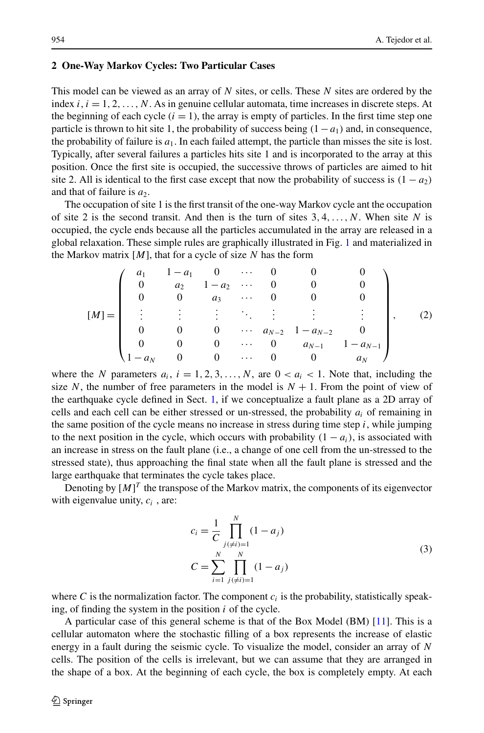#### <span id="page-3-0"></span>**2 One-Way Markov Cycles: Two Particular Cases**

This model can be viewed as an array of *N* sites, or cells. These *N* sites are ordered by the index  $i, i = 1, 2, \ldots, N$ . As in genuine cellular automata, time increases in discrete steps. At the beginning of each cycle  $(i = 1)$ , the array is empty of particles. In the first time step one particle is thrown to hit site 1, the probability of success being  $(1 - a_1)$  and, in consequence, the probability of failure is  $a_1$ . In each failed attempt, the particle than misses the site is lost. Typically, after several failures a particles hits site 1 and is incorporated to the array at this position. Once the first site is occupied, the successive throws of particles are aimed to hit site 2. All is identical to the first case except that now the probability of success is  $(1 - a_2)$ and that of failure is  $a_2$ .

The occupation of site 1 is the first transit of the one-way Markov cycle ant the occupation of site 2 is the second transit. And then is the turn of sites 3*,* 4*,...,N*. When site *N* is occupied, the cycle ends because all the particles accumulated in the array are released in a global relaxation. These simple rules are graphically illustrated in Fig. [1](#page-2-0) and materialized in the Markov matrix [*M*], that for a cycle of size *N* has the form

$$
[M] = \begin{pmatrix} a_1 & 1 - a_1 & 0 & \cdots & 0 & 0 & 0 \\ 0 & a_2 & 1 - a_2 & \cdots & 0 & 0 & 0 \\ 0 & 0 & a_3 & \cdots & 0 & 0 & 0 \\ \vdots & \vdots & \vdots & \ddots & \vdots & \vdots & \vdots \\ 0 & 0 & 0 & \cdots & a_{N-2} & 1 - a_{N-2} & 0 \\ 0 & 0 & 0 & \cdots & 0 & a_{N-1} & 1 - a_{N-1} \\ 1 - a_N & 0 & 0 & \cdots & 0 & 0 & a_N \end{pmatrix}, \quad (2)
$$

where the *N* parameters  $a_i$ ,  $i = 1, 2, 3, \ldots, N$ , are  $0 < a_i < 1$ . Note that, including the size *N*, the number of free parameters in the model is  $N + 1$ . From the point of view of the earthquake cycle defined in Sect. [1,](#page-0-0) if we conceptualize a fault plane as a 2D array of cells and each cell can be either stressed or un-stressed, the probability *ai* of remaining in the same position of the cycle means no increase in stress during time step *i*, while jumping to the next position in the cycle, which occurs with probability  $(1 - a_i)$ , is associated with an increase in stress on the fault plane (i.e., a change of one cell from the un-stressed to the stressed state), thus approaching the final state when all the fault plane is stressed and the large earthquake that terminates the cycle takes place.

Denoting by  $[M]$ <sup>T</sup> the transpose of the Markov matrix, the components of its eigenvector with eigenvalue unity,  $c_i$ , are:

$$
c_i = \frac{1}{C} \prod_{j(\neq i)=1}^{N} (1 - a_j)
$$
  
\n
$$
C = \sum_{i=1}^{N} \prod_{j(\neq i)=1}^{N} (1 - a_j)
$$
\n(3)

where *C* is the normalization factor. The component  $c_i$  is the probability, statistically speaking, of finding the system in the position *i* of the cycle.

A particular case of this general scheme is that of the Box Model (BM) [\[11\]](#page-11-8). This is a cellular automaton where the stochastic filling of a box represents the increase of elastic energy in a fault during the seismic cycle. To visualize the model, consider an array of *N* cells. The position of the cells is irrelevant, but we can assume that they are arranged in the shape of a box. At the beginning of each cycle, the box is completely empty. At each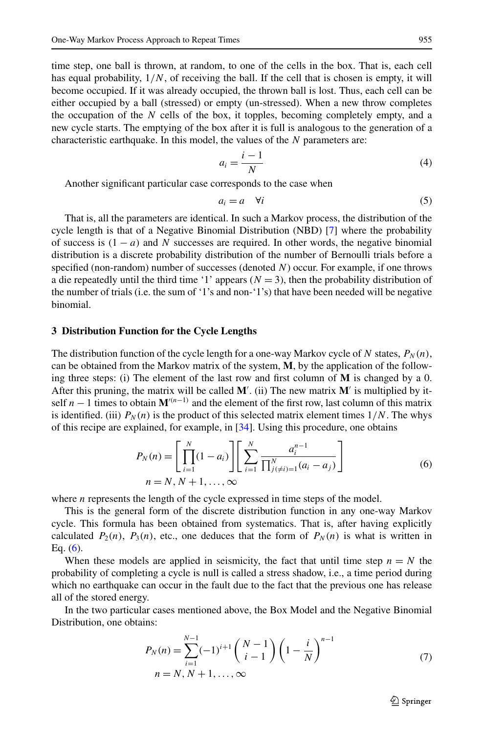time step, one ball is thrown, at random, to one of the cells in the box. That is, each cell has equal probability, 1*/N*, of receiving the ball. If the cell that is chosen is empty, it will become occupied. If it was already occupied, the thrown ball is lost. Thus, each cell can be either occupied by a ball (stressed) or empty (un-stressed). When a new throw completes the occupation of the *N* cells of the box, it topples, becoming completely empty, and a new cycle starts. The emptying of the box after it is full is analogous to the generation of a characteristic earthquake. In this model, the values of the *N* parameters are:

$$
a_i = \frac{i-1}{N} \tag{4}
$$

Another significant particular case corresponds to the case when

$$
a_i = a \quad \forall i \tag{5}
$$

<span id="page-4-0"></span>That is, all the parameters are identical. In such a Markov process, the distribution of the cycle length is that of a Negative Binomial Distribution (NBD) [[7\]](#page-11-9) where the probability of success is  $(1 - a)$  and N successes are required. In other words, the negative binomial distribution is a discrete probability distribution of the number of Bernoulli trials before a specified (non-random) number of successes (denoted *N*) occur. For example, if one throws a die repeatedly until the third time '1' appears  $(N = 3)$ , then the probability distribution of the number of trials (i.e. the sum of '1's and non-'1's) that have been needed will be negative binomial.

#### **3 Distribution Function for the Cycle Lengths**

<span id="page-4-1"></span>The distribution function of the cycle length for a one-way Markov cycle of *N* states,  $P_N(n)$ , can be obtained from the Markov matrix of the system, **M**, by the application of the following three steps: (i) The element of the last row and first column of **M** is changed by a 0. After this pruning, the matrix will be called M'. (ii) The new matrix M' is multiplied by itself *n* − 1 times to obtain  $M^{(n-1)}$  and the element of the first row, last column of this matrix is identified. (iii)  $P_N(n)$  is the product of this selected matrix element times  $1/N$ . The whys of this recipe are explained, for example, in [[34](#page-12-19)]. Using this procedure, one obtains

$$
P_N(n) = \left[ \prod_{i=1}^N (1 - a_i) \right] \left[ \sum_{i=1}^N \frac{a_i^{n-1}}{\prod_{j \neq i}^N (a_i - a_j)} \right]
$$
  
\n
$$
n = N, N + 1, ..., \infty
$$
\n(6)

where *n* represents the length of the cycle expressed in time steps of the model.

This is the general form of the discrete distribution function in any one-way Markov cycle. This formula has been obtained from systematics. That is, after having explicitly calculated  $P_2(n)$ ,  $P_3(n)$ , etc., one deduces that the form of  $P_N(n)$  is what is written in Eq.  $(6)$ .

When these models are applied in seismicity, the fact that until time step  $n = N$  the probability of completing a cycle is null is called a stress shadow, i.e., a time period during which no earthquake can occur in the fault due to the fact that the previous one has release all of the stored energy.

In the two particular cases mentioned above, the Box Model and the Negative Binomial Distribution, one obtains:

$$
P_N(n) = \sum_{i=1}^{N-1} (-1)^{i+1} \binom{N-1}{i-1} \left(1 - \frac{i}{N}\right)^{n-1}
$$
  
\n
$$
n = N, N+1, ..., \infty
$$
\n(7)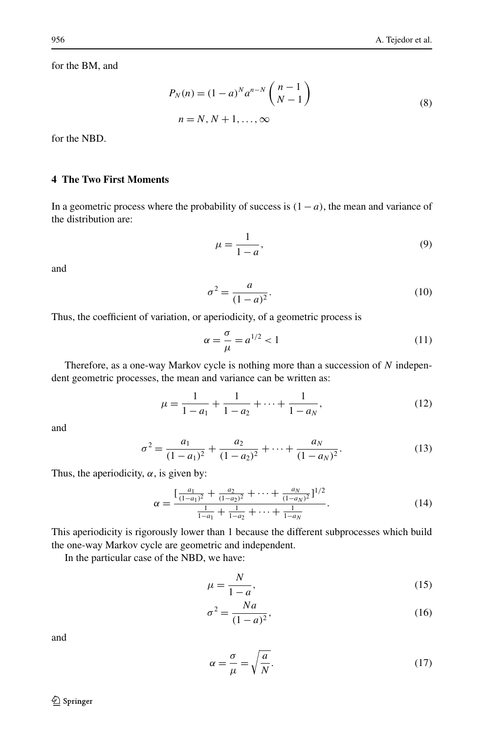<span id="page-5-3"></span><span id="page-5-0"></span>for the BM, and

$$
P_N(n) = (1 - a)^N a^{n-N} \binom{n-1}{N-1}
$$
  
\n
$$
n = N, N + 1, \dots, \infty
$$
\n(8)

for the NBD.

# **4 The Two First Moments**

In a geometric process where the probability of success is  $(1 - a)$ , the mean and variance of the distribution are:

$$
\mu = \frac{1}{1 - a},\tag{9}
$$

and

 $\sigma^2 = \frac{a}{(1 - a)^2}$ . (10)

Thus, the coefficient of variation, or aperiodicity, of a geometric process is

$$
\alpha = \frac{\sigma}{\mu} = a^{1/2} < 1\tag{11}
$$

Therefore, as a one-way Markov cycle is nothing more than a succession of *N* independent geometric processes, the mean and variance can be written as:

$$
\mu = \frac{1}{1 - a_1} + \frac{1}{1 - a_2} + \dots + \frac{1}{1 - a_N},\tag{12}
$$

and

$$
\sigma^2 = \frac{a_1}{(1-a_1)^2} + \frac{a_2}{(1-a_2)^2} + \dots + \frac{a_N}{(1-a_N)^2}.
$$
 (13)

Thus, the aperiodicity,  $\alpha$ , is given by:

<span id="page-5-2"></span>
$$
\alpha = \frac{\left[\frac{a_1}{(1-a_1)^2} + \frac{a_2}{(1-a_2)^2} + \dots + \frac{a_N}{(1-a_N)^2}\right]^{1/2}}{\frac{1}{1-a_1} + \frac{1}{1-a_2} + \dots + \frac{1}{1-a_N}}.
$$
(14)

This aperiodicity is rigorously lower than 1 because the different subprocesses which build the one-way Markov cycle are geometric and independent.

<span id="page-5-1"></span>In the particular case of the NBD, we have:

$$
\mu = \frac{N}{1 - a},\tag{15}
$$

$$
\sigma^2 = \frac{Na}{(1-a)^2},\tag{16}
$$

and

$$
\alpha = \frac{\sigma}{\mu} = \sqrt{\frac{a}{N}}.\tag{17}
$$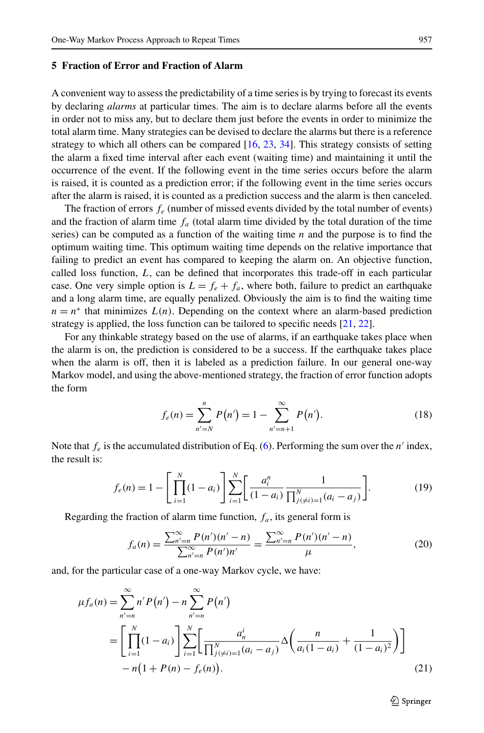#### <span id="page-6-0"></span>**5 Fraction of Error and Fraction of Alarm**

A convenient way to assess the predictability of a time series is by trying to forecast its events by declaring *alarms* at particular times. The aim is to declare alarms before all the events in order not to miss any, but to declare them just before the events in order to minimize the total alarm time. Many strategies can be devised to declare the alarms but there is a reference strategy to which all others can be compared [[16](#page-12-20), [23,](#page-12-21) [34](#page-12-19)]. This strategy consists of setting the alarm a fixed time interval after each event (waiting time) and maintaining it until the occurrence of the event. If the following event in the time series occurs before the alarm is raised, it is counted as a prediction error; if the following event in the time series occurs after the alarm is raised, it is counted as a prediction success and the alarm is then canceled.

The fraction of errors  $f_e$  (number of missed events divided by the total number of events) and the fraction of alarm time  $f_a$  (total alarm time divided by the total duration of the time series) can be computed as a function of the waiting time *n* and the purpose is to find the optimum waiting time. This optimum waiting time depends on the relative importance that failing to predict an event has compared to keeping the alarm on. An objective function, called loss function, *L*, can be defined that incorporates this trade-off in each particular case. One very simple option is  $L = f_e + f_a$ , where both, failure to predict an earthquake and a long alarm time, are equally penalized. Obviously the aim is to find the waiting time  $n = n^*$  that minimizes  $L(n)$ . Depending on the context where an alarm-based prediction strategy is applied, the loss function can be tailored to specific needs [\[21,](#page-12-22) [22](#page-12-15)].

For any thinkable strategy based on the use of alarms, if an earthquake takes place when the alarm is on, the prediction is considered to be a success. If the earthquake takes place when the alarm is off, then it is labeled as a prediction failure. In our general one-way Markov model, and using the above-mentioned strategy, the fraction of error function adopts the form

$$
f_e(n) = \sum_{n'=N}^{n} P(n') = 1 - \sum_{n'=n+1}^{\infty} P(n').
$$
 (18)

Note that  $f_e$  is the accumulated distribution of Eq. [\(6\)](#page-4-1). Performing the sum over the  $n'$  index, the result is:

$$
f_e(n) = 1 - \left[ \prod_{i=1}^N (1 - a_i) \right] \sum_{i=1}^N \left[ \frac{a_i^n}{(1 - a_i)} \frac{1}{\prod_{j \neq i}^N (a_i - a_j)} \right].
$$
 (19)

Regarding the fraction of alarm time function,  $f_a$ , its general form is

$$
f_a(n) = \frac{\sum_{n'=n}^{\infty} P(n')(n'-n)}{\sum_{n'=n}^{\infty} P(n')n'} = \frac{\sum_{n'=n}^{\infty} P(n')(n'-n)}{\mu},
$$
 (20)

and, for the particular case of a one-way Markov cycle, we have:

$$
\mu f_a(n) = \sum_{n'=n}^{\infty} n' P(n') - n \sum_{n'=n}^{\infty} P(n')
$$
  
= 
$$
\left[ \prod_{i=1}^N (1 - a_i) \right] \sum_{i=1}^N \left[ \frac{a_n^i}{\prod_{j(\neq i)=1}^N (a_i - a_j)} \Delta \left( \frac{n}{a_i (1 - a_i)} + \frac{1}{(1 - a_i)^2} \right) \right]
$$
  
- n(1 + P(n) - f\_e(n)). (21)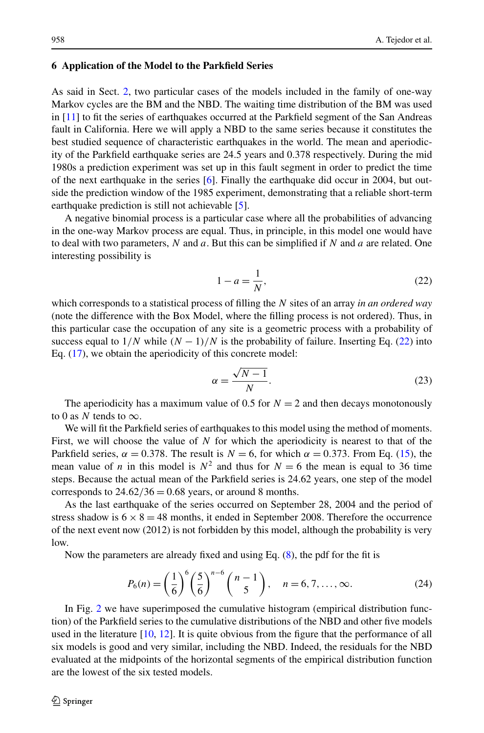#### <span id="page-7-0"></span>**6 Application of the Model to the Parkfield Series**

As said in Sect. [2,](#page-3-0) two particular cases of the models included in the family of one-way Markov cycles are the BM and the NBD. The waiting time distribution of the BM was used in [[11](#page-11-8)] to fit the series of earthquakes occurred at the Parkfield segment of the San Andreas fault in California. Here we will apply a NBD to the same series because it constitutes the best studied sequence of characteristic earthquakes in the world. The mean and aperiodicity of the Parkfield earthquake series are 24.5 years and 0.378 respectively. During the mid 1980s a prediction experiment was set up in this fault segment in order to predict the time of the next earthquake in the series [[6](#page-11-10)]. Finally the earthquake did occur in 2004, but outside the prediction window of the 1985 experiment, demonstrating that a reliable short-term earthquake prediction is still not achievable [[5](#page-11-11)].

<span id="page-7-1"></span>A negative binomial process is a particular case where all the probabilities of advancing in the one-way Markov process are equal. Thus, in principle, in this model one would have to deal with two parameters, *N* and *a*. But this can be simplified if *N* and *a* are related. One interesting possibility is

$$
1 - a = \frac{1}{N},\tag{22}
$$

which corresponds to a statistical process of filling the *N* sites of an array *in an ordered way* (note the difference with the Box Model, where the filling process is not ordered). Thus, in this particular case the occupation of any site is a geometric process with a probability of success equal to  $1/N$  while  $(N - 1)/N$  is the probability of failure. Inserting Eq. ([22](#page-7-1)) into Eq. [\(17\)](#page-5-1), we obtain the aperiodicity of this concrete model:

$$
\alpha = \frac{\sqrt{N-1}}{N}.\tag{23}
$$

The aperiodicity has a maximum value of 0.5 for  $N = 2$  and then decays monotonously to 0 as *N* tends to  $\infty$ .

We will fit the Parkfield series of earthquakes to this model using the method of moments. First, we will choose the value of *N* for which the aperiodicity is nearest to that of the Parkfield series,  $\alpha = 0.378$ . The result is  $N = 6$ , for which  $\alpha = 0.373$ . From Eq. [\(15\)](#page-5-2), the mean value of *n* in this model is  $N^2$  and thus for  $N = 6$  the mean is equal to 36 time steps. Because the actual mean of the Parkfield series is 24.62 years, one step of the model corresponds to  $24.62/36 = 0.68$  years, or around 8 months.

<span id="page-7-2"></span>As the last earthquake of the series occurred on September 28, 2004 and the period of stress shadow is  $6 \times 8 = 48$  months, it ended in September 2008. Therefore the occurrence of the next event now (2012) is not forbidden by this model, although the probability is very low.

Now the parameters are already fixed and using Eq. ([8](#page-5-3)), the pdf for the fit is

$$
P_6(n) = \left(\frac{1}{6}\right)^6 \left(\frac{5}{6}\right)^{n-6} {n-1 \choose 5}, \quad n = 6, 7, ..., \infty.
$$
 (24)

In Fig. [2](#page-8-1) we have superimposed the cumulative histogram (empirical distribution function) of the Parkfield series to the cumulative distributions of the NBD and other five models used in the literature  $[10, 12]$  $[10, 12]$  $[10, 12]$ . It is quite obvious from the figure that the performance of all six models is good and very similar, including the NBD. Indeed, the residuals for the NBD evaluated at the midpoints of the horizontal segments of the empirical distribution function are the lowest of the six tested models.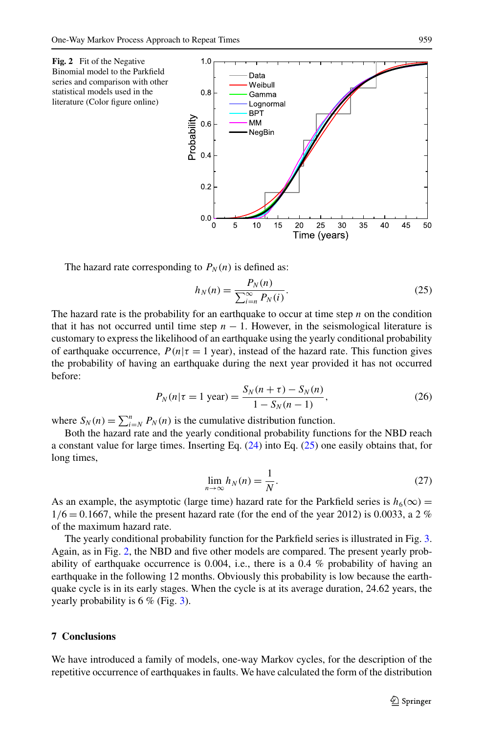<span id="page-8-1"></span>

<span id="page-8-2"></span>The hazard rate corresponding to  $P_N(n)$  is defined as:

$$
h_N(n) = \frac{P_N(n)}{\sum_{i=n}^{\infty} P_N(i)}.
$$
\n(25)

The hazard rate is the probability for an earthquake to occur at time step *n* on the condition that it has not occurred until time step  $n - 1$ . However, in the seismological literature is customary to express the likelihood of an earthquake using the yearly conditional probability of earthquake occurrence,  $P(n|\tau = 1$  year), instead of the hazard rate. This function gives the probability of having an earthquake during the next year provided it has not occurred before:

$$
P_N(n|\tau = 1 \text{ year}) = \frac{S_N(n+\tau) - S_N(n)}{1 - S_N(n-1)},
$$
\n(26)

where  $S_N(n) = \sum_{i=N}^n P_N(n)$  is the cumulative distribution function.

Both the hazard rate and the yearly conditional probability functions for the NBD reach a constant value for large times. Inserting Eq. ([24\)](#page-7-2) into Eq. ([25\)](#page-8-2) one easily obtains that, for long times,

$$
\lim_{n \to \infty} h_N(n) = \frac{1}{N}.\tag{27}
$$

As an example, the asymptotic (large time) hazard rate for the Parkfield series is  $h_6(\infty)$  = 1*/*6 = 0*.*1667, while the present hazard rate (for the end of the year 2012) is 0.0033, a 2 % of the maximum hazard rate.

<span id="page-8-0"></span>The yearly conditional probability function for the Parkfield series is illustrated in Fig. [3](#page-9-0). Again, as in Fig. [2](#page-8-1), the NBD and five other models are compared. The present yearly probability of earthquake occurrence is 0.004, i.e., there is a 0.4 % probability of having an earthquake in the following 12 months. Obviously this probability is low because the earthquake cycle is in its early stages. When the cycle is at its average duration, 24.62 years, the yearly probability is  $6\%$  (Fig. [3](#page-9-0)).

## **7 Conclusions**

We have introduced a family of models, one-way Markov cycles, for the description of the repetitive occurrence of earthquakes in faults. We have calculated the form of the distribution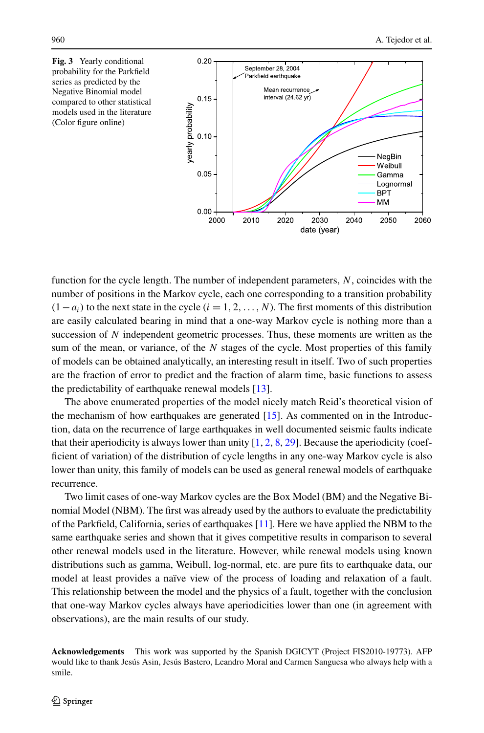<span id="page-9-0"></span>



function for the cycle length. The number of independent parameters, *N*, coincides with the number of positions in the Markov cycle, each one corresponding to a transition probability  $(1 - a_i)$  to the next state in the cycle  $(i = 1, 2, ..., N)$ . The first moments of this distribution are easily calculated bearing in mind that a one-way Markov cycle is nothing more than a succession of *N* independent geometric processes. Thus, these moments are written as the sum of the mean, or variance, of the *N* stages of the cycle. Most properties of this family of models can be obtained analytically, an interesting result in itself. Two of such properties are the fraction of error to predict and the fraction of alarm time, basic functions to assess the predictability of earthquake renewal models [\[13\]](#page-11-13).

The above enumerated properties of the model nicely match Reid's theoretical vision of the mechanism of how earthquakes are generated  $[15]$ . As commented on in the Introduction, data on the recurrence of large earthquakes in well documented seismic faults indicate that their aperiodicity is always lower than unity  $[1, 2, 8, 29]$  $[1, 2, 8, 29]$  $[1, 2, 8, 29]$  $[1, 2, 8, 29]$  $[1, 2, 8, 29]$  $[1, 2, 8, 29]$  $[1, 2, 8, 29]$  $[1, 2, 8, 29]$  $[1, 2, 8, 29]$ . Because the aperiodicity (coefficient of variation) of the distribution of cycle lengths in any one-way Markov cycle is also lower than unity, this family of models can be used as general renewal models of earthquake recurrence.

Two limit cases of one-way Markov cycles are the Box Model (BM) and the Negative Binomial Model (NBM). The first was already used by the authors to evaluate the predictability of the Parkfield, California, series of earthquakes [[11](#page-11-8)]. Here we have applied the NBM to the same earthquake series and shown that it gives competitive results in comparison to several other renewal models used in the literature. However, while renewal models using known distributions such as gamma, Weibull, log-normal, etc. are pure fits to earthquake data, our model at least provides a naïve view of the process of loading and relaxation of a fault. This relationship between the model and the physics of a fault, together with the conclusion that one-way Markov cycles always have aperiodicities lower than one (in agreement with observations), are the main results of our study.

**Acknowledgements** This work was supported by the Spanish DGICYT (Project FIS2010-19773). AFP would like to thank Jesús Asin, Jesús Bastero, Leandro Moral and Carmen Sanguesa who always help with a smile.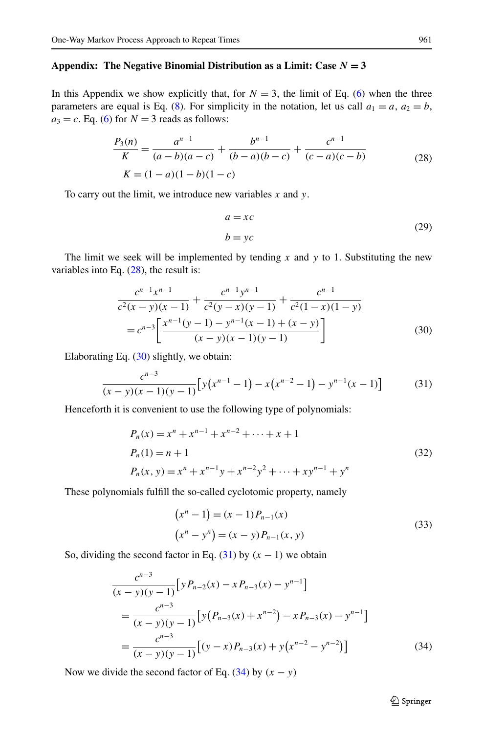#### <span id="page-10-1"></span><span id="page-10-0"></span>**Appendix: The Negative Binomial Distribution as a Limit: Case** *N* **= 3**

In this Appendix we show explicitly that, for  $N = 3$ , the limit of Eq. ([6](#page-4-1)) when the three parameters are equal is Eq. ([8\)](#page-5-3). For simplicity in the notation, let us call  $a_1 = a$ ,  $a_2 = b$ ,  $a_3 = c$ . Eq. [\(6\)](#page-4-1) for  $N = 3$  reads as follows:

$$
\frac{P_3(n)}{K} = \frac{a^{n-1}}{(a-b)(a-c)} + \frac{b^{n-1}}{(b-a)(b-c)} + \frac{c^{n-1}}{(c-a)(c-b)}
$$
\n
$$
K = (1-a)(1-b)(1-c) \tag{28}
$$

<span id="page-10-2"></span>To carry out the limit, we introduce new variables *x* and *y*.

$$
a = xc
$$
  
\n
$$
b = yc
$$
 (29)

<span id="page-10-3"></span>The limit we seek will be implemented by tending  $x$  and  $y$  to 1. Substituting the new variables into Eq. ([28](#page-10-1)), the result is:

$$
\frac{c^{n-1}x^{n-1}}{c^2(x-y)(x-1)} + \frac{c^{n-1}y^{n-1}}{c^2(y-x)(y-1)} + \frac{c^{n-1}}{c^2(1-x)(1-y)}
$$

$$
= c^{n-3} \left[ \frac{x^{n-1}(y-1) - y^{n-1}(x-1) + (x-y)}{(x-y)(x-1)(y-1)} \right]
$$
(30)

Elaborating Eq.  $(30)$  $(30)$  $(30)$  slightly, we obtain:

$$
\frac{c^{n-3}}{(x-y)(x-1)(y-1)} \left[ y(x^{n-1}-1) - x(x^{n-2}-1) - y^{n-1}(x-1) \right] \tag{31}
$$

Henceforth it is convenient to use the following type of polynomials:

$$
P_n(x) = x^n + x^{n-1} + x^{n-2} + \dots + x + 1
$$
  
\n
$$
P_n(1) = n + 1
$$
  
\n
$$
P_n(x, y) = x^n + x^{n-1}y + x^{n-2}y^2 + \dots + xy^{n-1} + y^n
$$
\n(32)

<span id="page-10-4"></span>These polynomials fulfill the so-called cyclotomic property, namely

$$
(xn - 1) = (x - 1)Pn-1(x)
$$
  
\n
$$
(xn - yn) = (x - y)Pn-1(x, y)
$$
 (33)

So, dividing the second factor in Eq. [\(31\)](#page-10-3) by  $(x - 1)$  we obtain

$$
\frac{c^{n-3}}{(x-y)(y-1)} \left[ yP_{n-2}(x) - xP_{n-3}(x) - y^{n-1} \right]
$$
  
= 
$$
\frac{c^{n-3}}{(x-y)(y-1)} \left[ y(P_{n-3}(x) + x^{n-2}) - xP_{n-3}(x) - y^{n-1} \right]
$$
  
= 
$$
\frac{c^{n-3}}{(x-y)(y-1)} \left[ (y-x)P_{n-3}(x) + y(x^{n-2} - y^{n-2}) \right]
$$
(34)

Now we divide the second factor of Eq.  $(34)$  by  $(x - y)$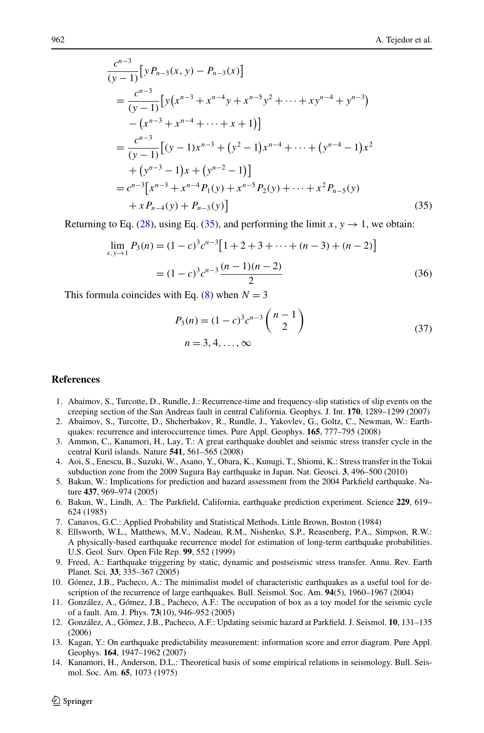<span id="page-11-14"></span>
$$
\frac{c^{n-3}}{(y-1)}[yP_{n-3}(x, y) - P_{n-3}(x)]
$$
\n
$$
= \frac{c^{n-3}}{(y-1)}[y(x^{n-3} + x^{n-4}y + x^{n-5}y^2 + \dots + xy^{n-4} + y^{n-3})
$$
\n
$$
- (x^{n-3} + x^{n-4} + \dots + x + 1)]
$$
\n
$$
= \frac{c^{n-3}}{(y-1)}[(y-1)x^{n-3} + (y^2-1)x^{n-4} + \dots + (y^{n-4}-1)x^2
$$
\n
$$
+ (y^{n-3} - 1)x + (y^{n-2} - 1)]
$$
\n
$$
= c^{n-3}[x^{n-3} + x^{n-4}P_1(y) + x^{n-5}P_2(y) + \dots + x^2P_{n-5}(y) + xP_{n-4}(y) + P_{n-3}(y)]
$$
\n(35)

Returning to Eq. [\(28\)](#page-10-1), using Eq. ([35](#page-11-14)), and performing the limit  $x, y \rightarrow 1$ , we obtain:

$$
\lim_{x,y \to 1} P_3(n) = (1-c)^3 c^{n-3} [1+2+3+\dots+(n-3)+(n-2)]
$$
  
=  $(1-c)^3 c^{n-3} \frac{(n-1)(n-2)}{2}$  (36)

<span id="page-11-7"></span><span id="page-11-0"></span>This formula coincides with Eq.  $(8)$  when  $N = 3$ 

$$
P_3(n) = (1 - c)^3 c^{n-3} \binom{n-1}{2}
$$
  
\n
$$
n = 3, 4, ..., \infty
$$
\n(37)

## <span id="page-11-11"></span><span id="page-11-10"></span><span id="page-11-3"></span><span id="page-11-2"></span>**References**

- 1. Abaimov, S., Turcotte, D., Rundle, J.: Recurrence-time and frequency-slip statistics of slip events on the creeping section of the San Andreas fault in central California. Geophys. J. Int. **170**, 1289–1299 (2007)
- <span id="page-11-9"></span>2. Abaimov, S., Turcotte, D., Shcherbakov, R., Rundle, J., Yakovlev, G., Goltz, C., Newman, W.: Earthquakes: recurrence and interoccurrence times. Pure Appl. Geophys. **165**, 777–795 (2008)
- <span id="page-11-6"></span>3. Ammon, C., Kanamori, H., Lay, T.: A great earthquake doublet and seismic stress transfer cycle in the central Kuril islands. Nature **541**, 561–565 (2008)
- <span id="page-11-4"></span>4. Aoi, S., Enescu, B., Suzuki, W., Asano, Y., Obara, K., Kunugi, T., Shiomi, K.: Stress transfer in the Tokai subduction zone from the 2009 Sugura Bay earthquake in Japan. Nat. Geosci. **3**, 496–500 (2010)
- <span id="page-11-12"></span>5. Bakun, W.: Implications for prediction and hazard assessment from the 2004 Parkfield earthquake. Nature **437**, 969–974 (2005)
- <span id="page-11-8"></span>6. Bakun, W., Lindh, A.: The Parkfield, California, earthquake prediction experiment. Science **229**, 619– 624 (1985)
- <span id="page-11-5"></span>7. Canavos, G.C.: Applied Probability and Statistical Methods. Little Brown, Boston (1984)
- <span id="page-11-13"></span>8. Ellsworth, W.L., Matthews, M.V., Nadeau, R.M., Nishenko, S.P., Reasenberg, P.A., Simpson, R.W.: A physically-based earthquake recurrence model for estimation of long-term earthquake probabilities. U.S. Geol. Surv. Open File Rep. **99**, 552 (1999)
- <span id="page-11-1"></span>9. Freed, A.: Earthquake triggering by static, dynamic and postseismic stress transfer. Annu. Rev. Earth Planet. Sci. **33**, 335–367 (2005)
- 10. Gómez, J.B., Pacheco, A.: The minimalist model of characteristic earthquakes as a useful tool for description of the recurrence of large earthquakes. Bull. Seismol. Soc. Am. **94**(5), 1960–1967 (2004)
- 11. González, A., Gómez, J.B., Pacheco, A.F.: The occupation of box as a toy model for the seismic cycle of a fault. Am. J. Phys. **73**(10), 946–952 (2005)
- 12. González, A., Gómez, J.B., Pacheco, A.F.: Updating seismic hazard at Parkfield. J. Seismol. **10**, 131–135 (2006)
- 13. Kagan, Y.: On earthquake predictability measurement: information score and error diagram. Pure Appl. Geophys. **164**, 1947–1962 (2007)
- 14. Kanamori, H., Anderson, D.L.: Theoretical basis of some empirical relations in seismology. Bull. Seismol. Soc. Am. **65**, 1073 (1975)